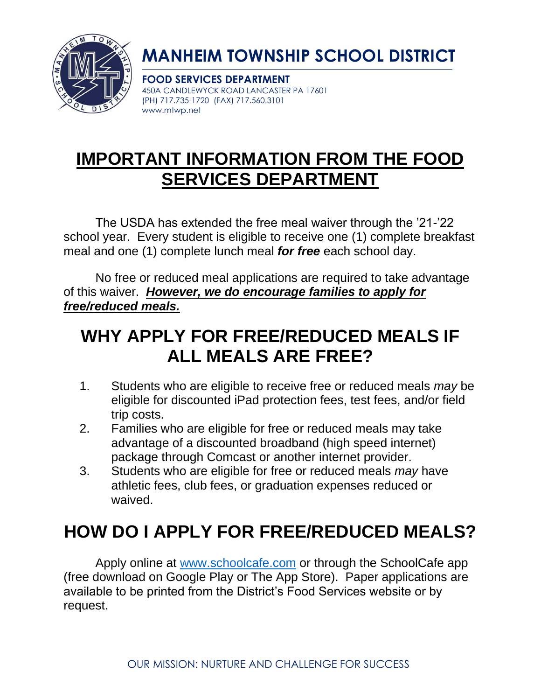

# **MANHEIM TOWNSHIP SCHOOL DISTRICT**

**FOOD SERVICES DEPARTMENT** 450A CANDLEWYCK ROAD LANCASTER PA 17601 (PH) 717.735-1720 (FAX) 717.560.3101 www.mtwp.net

## **IMPORTANT INFORMATION FROM THE FOOD SERVICES DEPARTMENT**

The USDA has extended the free meal waiver through the '21-'22 school year. Every student is eligible to receive one (1) complete breakfast meal and one (1) complete lunch meal *for free* each school day.

No free or reduced meal applications are required to take advantage of this waiver. *However, we do encourage families to apply for free/reduced meals.*

## **WHY APPLY FOR FREE/REDUCED MEALS IF ALL MEALS ARE FREE?**

- 1. Students who are eligible to receive free or reduced meals *may* be eligible for discounted iPad protection fees, test fees, and/or field trip costs.
- 2. Families who are eligible for free or reduced meals may take advantage of a discounted broadband (high speed internet) package through Comcast or another internet provider.
- 3. Students who are eligible for free or reduced meals *may* have athletic fees, club fees, or graduation expenses reduced or waived.

# **HOW DO I APPLY FOR FREE/REDUCED MEALS?**

Apply online at [www.schoolcafe.com](http://www.schoolcafe.com/) or through the SchoolCafe app (free download on Google Play or The App Store). Paper applications are available to be printed from the District's Food Services website or by request.